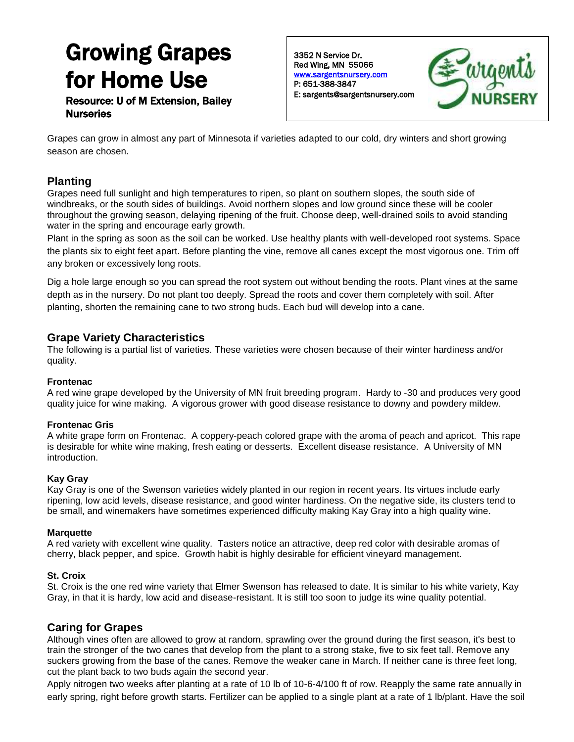# Growing Grapes for Home Use

Resource: U of M Extension, Bailey **Nurseries** 

3352 N Service Dr. Red Wing, MN 55066 [www.sargentsnursery.com](http://www.sargentsnursery.com/)  P: 651-388-3847 E: sargents@sargentsnursery.com



Grapes can grow in almost any part of Minnesota if varieties adapted to our cold, dry winters and short growing season are chosen.

# **Planting**

Grapes need full sunlight and high temperatures to ripen, so plant on southern slopes, the south side of windbreaks, or the south sides of buildings. Avoid northern slopes and low ground since these will be cooler throughout the growing season, delaying ripening of the fruit. Choose deep, well-drained soils to avoid standing water in the spring and encourage early growth.

Plant in the spring as soon as the soil can be worked. Use healthy plants with well-developed root systems. Space the plants six to eight feet apart. Before planting the vine, remove all canes except the most vigorous one. Trim off any broken or excessively long roots.

Dig a hole large enough so you can spread the root system out without bending the roots. Plant vines at the same depth as in the nursery. Do not plant too deeply. Spread the roots and cover them completely with soil. After planting, shorten the remaining cane to two strong buds. Each bud will develop into a cane.

## **Grape Variety Characteristics**

The following is a partial list of varieties. These varieties were chosen because of their winter hardiness and/or quality.

#### **Frontenac**

A red wine grape developed by the University of MN fruit breeding program. Hardy to -30 and produces very good quality juice for wine making. A vigorous grower with good disease resistance to downy and powdery mildew.

#### **Frontenac Gris**

A white grape form on Frontenac. A coppery-peach colored grape with the aroma of peach and apricot. This rape is desirable for white wine making, fresh eating or desserts. Excellent disease resistance. A University of MN introduction.

#### **Kay Gray**

Kay Gray is one of the Swenson varieties widely planted in our region in recent years. Its virtues include early ripening, low acid levels, disease resistance, and good winter hardiness. On the negative side, its clusters tend to be small, and winemakers have sometimes experienced difficulty making Kay Gray into a high quality wine.

#### **Marquette**

A red variety with excellent wine quality. Tasters notice an attractive, deep red color with desirable aromas of cherry, black pepper, and spice. Growth habit is highly desirable for efficient vineyard management.

#### **St. Croix**

St. Croix is the one red wine variety that Elmer Swenson has released to date. It is similar to his white variety, Kay Gray, in that it is hardy, low acid and disease-resistant. It is still too soon to judge its wine quality potential.

## **Caring for Grapes**

Although vines often are allowed to grow at random, sprawling over the ground during the first season, it's best to train the stronger of the two canes that develop from the plant to a strong stake, five to six feet tall. Remove any suckers growing from the base of the canes. Remove the weaker cane in March. If neither cane is three feet long, cut the plant back to two buds again the second year.

Apply nitrogen two weeks after planting at a rate of 10 lb of 10-6-4/100 ft of row. Reapply the same rate annually in early spring, right before growth starts. Fertilizer can be applied to a single plant at a rate of 1 lb/plant. Have the soil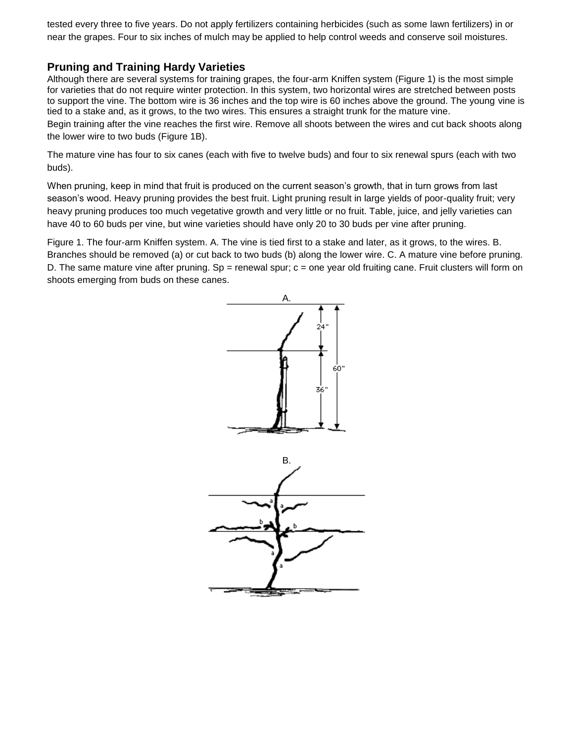tested every three to five years. Do not apply fertilizers containing herbicides (such as some lawn fertilizers) in or near the grapes. Four to six inches of mulch may be applied to help control weeds and conserve soil moistures.

## **Pruning and Training Hardy Varieties**

Although there are several systems for training grapes, the four-arm Kniffen system (Figure 1) is the most simple for varieties that do not require winter protection. In this system, two horizontal wires are stretched between posts to support the vine. The bottom wire is 36 inches and the top wire is 60 inches above the ground. The young vine is tied to a stake and, as it grows, to the two wires. This ensures a straight trunk for the mature vine.

Begin training after the vine reaches the first wire. Remove all shoots between the wires and cut back shoots along the lower wire to two buds (Figure 1B).

The mature vine has four to six canes (each with five to twelve buds) and four to six renewal spurs (each with two buds).

When pruning, keep in mind that fruit is produced on the current season's growth, that in turn grows from last season's wood. Heavy pruning provides the best fruit. Light pruning result in large yields of poor-quality fruit; very heavy pruning produces too much vegetative growth and very little or no fruit. Table, juice, and jelly varieties can have 40 to 60 buds per vine, but wine varieties should have only 20 to 30 buds per vine after pruning.

Figure 1. The four-arm Kniffen system. A. The vine is tied first to a stake and later, as it grows, to the wires. B. Branches should be removed (a) or cut back to two buds (b) along the lower wire. C. A mature vine before pruning. D. The same mature vine after pruning. Sp = renewal spur;  $c =$  one year old fruiting cane. Fruit clusters will form on shoots emerging from buds on these canes.

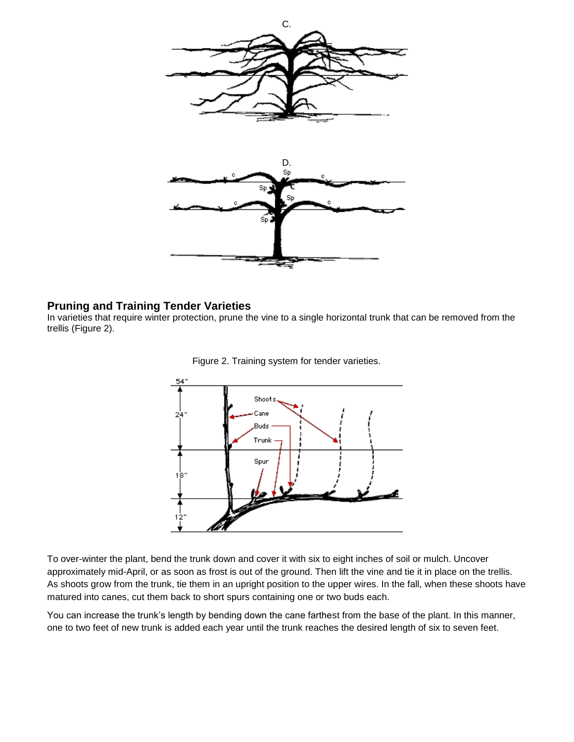

#### **Pruning and Training Tender Varieties**

In varieties that require winter protection, prune the vine to a single horizontal trunk that can be removed from the trellis (Figure 2).



Figure 2. Training system for tender varieties.

To over-winter the plant, bend the trunk down and cover it with six to eight inches of soil or mulch. Uncover approximately mid-April, or as soon as frost is out of the ground. Then lift the vine and tie it in place on the trellis. As shoots grow from the trunk, tie them in an upright position to the upper wires. In the fall, when these shoots have matured into canes, cut them back to short spurs containing one or two buds each.

You can increase the trunk's length by bending down the cane farthest from the base of the plant. In this manner, one to two feet of new trunk is added each year until the trunk reaches the desired length of six to seven feet.